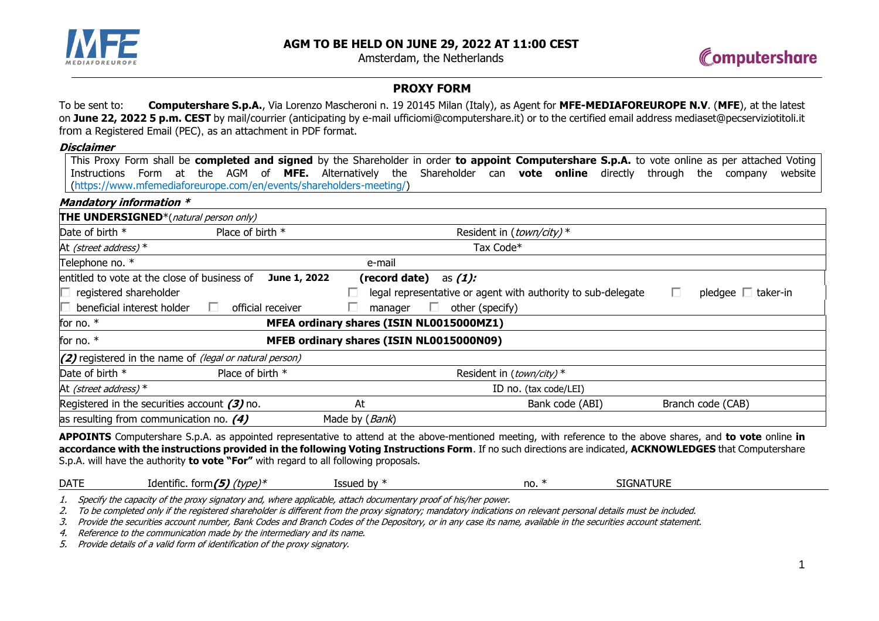

Amsterdam, the Netherlands



## **PROXY FORM**

To be sent to: **Computershare S.p.A.**, Via Lorenzo Mascheroni n. 19 20145 Milan (Italy), as Agent for **MFE-MEDIAFOREUROPE N.V**. (**MFE**), at the latest on **June 22, 2022 5 p.m. CEST** by mail/courrier (anticipating by e-mail ufficiomi@computershare.it) or to the certified email address mediaset@pecserviziotitoli.it from a Registered Email (PEC), as an attachment in PDF format.

### **Disclaimer**

This Proxy Form shall be **completed and signed** by the Shareholder in order **to appoint Computershare S.p.A.** to vote online as per attached Voting Instructions Form at the AGM of **MFE.** Alternatively the Shareholder can **vote online** directly through the company website [\(https://www.mfemediaforeurope.com/en/events/shareholders-meeting/\)](https://www.mfemediaforeurope.com/en/events/shareholders-meeting/)

## **Mandatory information \***

| <b>THE UNDERSIGNED</b> *(natural person only)                  |                   |                                          |                                                              |                               |  |  |
|----------------------------------------------------------------|-------------------|------------------------------------------|--------------------------------------------------------------|-------------------------------|--|--|
| Date of birth *                                                | Place of birth *  | Resident in (town/city) *                |                                                              |                               |  |  |
| At <i>(street address)</i> $*$                                 |                   |                                          | Tax Code*                                                    |                               |  |  |
| Telephone no. *                                                |                   | e-mail                                   |                                                              |                               |  |  |
| entitled to vote at the close of business of                   | June 1, 2022      | (record date)                            | as <i>(1):</i>                                               |                               |  |  |
| $\Box$ registered shareholder                                  |                   |                                          | legal representative or agent with authority to sub-delegate | pledgee $\Box$ taker-in<br>L. |  |  |
| beneficial interest holder                                     | official receiver | manager<br>ш                             | other (specify)                                              |                               |  |  |
| MFEA ordinary shares (ISIN NL0015000MZ1)<br>for no. $*$        |                   |                                          |                                                              |                               |  |  |
| for no. $*$                                                    |                   | MFEB ordinary shares (ISIN NL0015000N09) |                                                              |                               |  |  |
| (2) registered in the name of <i>(legal or natural person)</i> |                   |                                          |                                                              |                               |  |  |
| Date of birth *                                                | Place of birth *  |                                          | Resident in (town/city) *                                    |                               |  |  |
| At (street address) $*$                                        |                   |                                          | ID no. (tax code/LEI)                                        |                               |  |  |
| Registered in the securities account $(3)$ no.                 |                   | At                                       | Bank code (ABI)                                              | Branch code (CAB)             |  |  |
| as resulting from communication no. $(4)$                      |                   | Made by (Bank)                           |                                                              |                               |  |  |

**APPOINTS** Computershare S.p.A. as appointed representative to attend at the above-mentioned meeting, with reference to the above shares, and **to vote** online **in accordance with the instructions provided in the following Voting Instructions Form**. If no such directions are indicated, **ACKNOWLEDGES** that Computershare S.p.A. will have the authority **to vote "For"** with regard to all following proposals.

|  | <b>DATE</b> | Identific. form $(5)$ (type)* | Issued by $*$ | no. | <b>SIGNATURE</b> |
|--|-------------|-------------------------------|---------------|-----|------------------|
|--|-------------|-------------------------------|---------------|-----|------------------|

1. Specify the capacity of the proxy signatory and, where applicable, attach documentary proof of his/her power.

2. To be completed only if the registered shareholder is different from the proxy signatory; mandatory indications on relevant personal details must be included.

3. Provide the securities account number, Bank Codes and Branch Codes of the Depository, or in any case its name, available in the securities account statement.

4. Reference to the communication made by the intermediary and its name.

5. Provide details of a valid form of identification of the proxy signatory.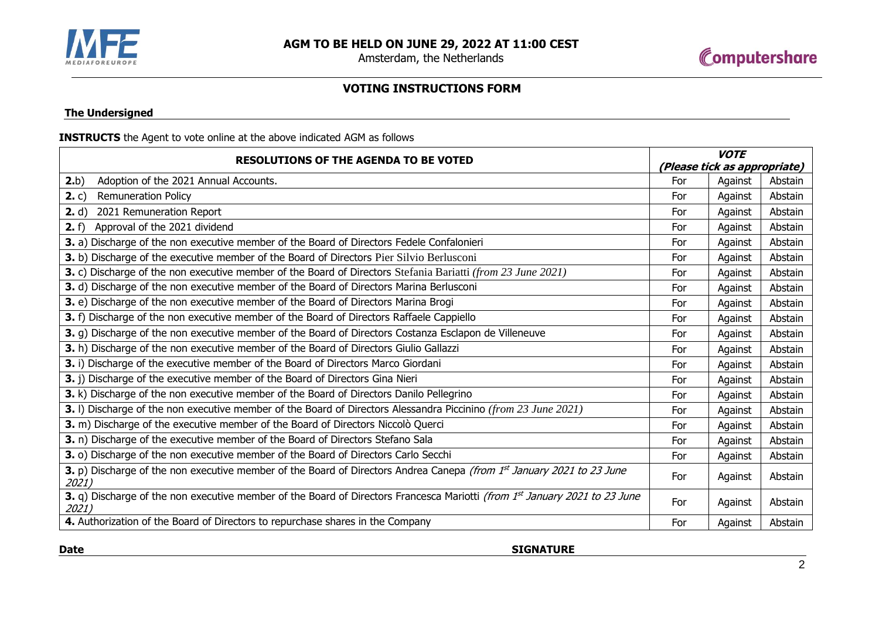

Amsterdam, the Netherlands



# **VOTING INSTRUCTIONS FORM**

## **The Undersigned**

## **INSTRUCTS** the Agent to vote online at the above indicated AGM as follows

| <b>RESOLUTIONS OF THE AGENDA TO BE VOTED</b>                                                                                        |                              | <b>VOTE</b> |         |  |
|-------------------------------------------------------------------------------------------------------------------------------------|------------------------------|-------------|---------|--|
|                                                                                                                                     | (Please tick as appropriate) |             |         |  |
| 2.b)<br>Adoption of the 2021 Annual Accounts.                                                                                       | For                          | Against     | Abstain |  |
| 2. c)<br><b>Remuneration Policy</b>                                                                                                 | For                          | Against     | Abstain |  |
| 2. d)<br>2021 Remuneration Report                                                                                                   | For                          | Against     | Abstain |  |
| 2. f)<br>Approval of the 2021 dividend                                                                                              | For                          | Against     | Abstain |  |
| 3. a) Discharge of the non executive member of the Board of Directors Fedele Confalonieri                                           | For                          | Against     | Abstain |  |
| 3. b) Discharge of the executive member of the Board of Directors Pier Silvio Berlusconi                                            | For                          | Against     | Abstain |  |
| 3. c) Discharge of the non executive member of the Board of Directors Stefania Bariatti (from 23 June 2021)                         | For                          | Against     | Abstain |  |
| 3. d) Discharge of the non executive member of the Board of Directors Marina Berlusconi                                             | For                          | Against     | Abstain |  |
| 3. e) Discharge of the non executive member of the Board of Directors Marina Brogi                                                  | For                          | Against     | Abstain |  |
| 3. f) Discharge of the non executive member of the Board of Directors Raffaele Cappiello                                            | For                          | Against     | Abstain |  |
| 3. g) Discharge of the non executive member of the Board of Directors Costanza Esclapon de Villeneuve                               | For                          | Against     | Abstain |  |
| 3. h) Discharge of the non executive member of the Board of Directors Giulio Gallazzi                                               | For                          | Against     | Abstain |  |
| 3. i) Discharge of the executive member of the Board of Directors Marco Giordani                                                    | For                          | Against     | Abstain |  |
| 3. j) Discharge of the executive member of the Board of Directors Gina Nieri                                                        | For                          | Against     | Abstain |  |
| 3. k) Discharge of the non executive member of the Board of Directors Danilo Pellegrino                                             | For                          | Against     | Abstain |  |
| 3. I) Discharge of the non executive member of the Board of Directors Alessandra Piccinino (from 23 June 2021)                      | For                          | Against     | Abstain |  |
| 3. m) Discharge of the executive member of the Board of Directors Niccolò Querci                                                    | For                          | Against     | Abstain |  |
| 3. n) Discharge of the executive member of the Board of Directors Stefano Sala                                                      | For                          | Against     | Abstain |  |
| 3. o) Discharge of the non executive member of the Board of Directors Carlo Secchi                                                  | For                          | Against     | Abstain |  |
| 3. p) Discharge of the non executive member of the Board of Directors Andrea Canepa (from 1st January 2021 to 23 June<br>2021)      |                              | Against     | Abstain |  |
| 3. q) Discharge of the non executive member of the Board of Directors Francesca Mariotti (from 1st January 2021 to 23 June<br>2021) |                              | Against     | Abstain |  |
| 4. Authorization of the Board of Directors to repurchase shares in the Company                                                      | For                          | Against     | Abstain |  |

**Date** SIGNATURE